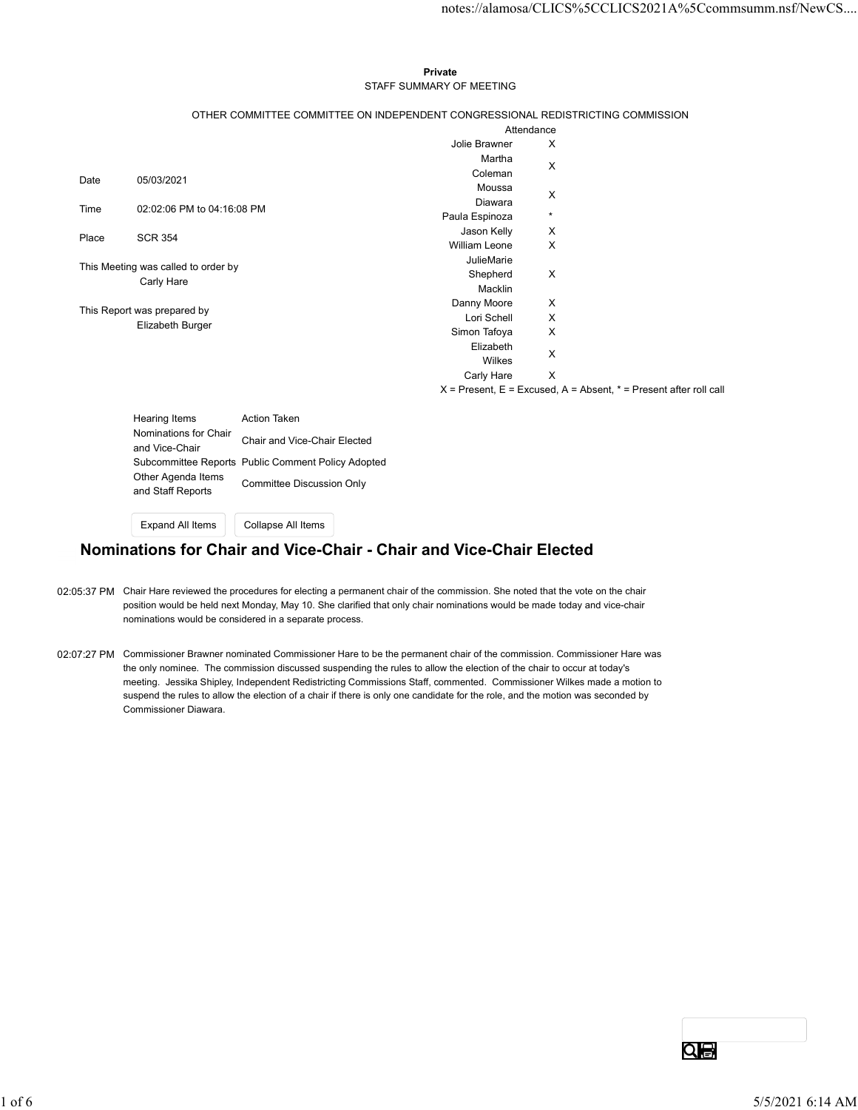#### Private **Private** and *Private* and *Private* and *Private* and *Private* and *Private* and *Private* and *Private* and *Private* and *Private* and *Private* and *Private* and *Private* and *Private* and *Private* and *Pri* STAFF SUMMARY OF MEETING

|       |                                         |                                                    |                                                                                 |              | notes://alamosa/CLICS%5CCLICS2021A%5Ccommsumm.nsf/NewCS                   |  |
|-------|-----------------------------------------|----------------------------------------------------|---------------------------------------------------------------------------------|--------------|---------------------------------------------------------------------------|--|
|       |                                         |                                                    |                                                                                 |              |                                                                           |  |
|       |                                         |                                                    |                                                                                 |              |                                                                           |  |
|       |                                         |                                                    | Private                                                                         |              |                                                                           |  |
|       |                                         |                                                    | STAFF SUMMARY OF MEETING                                                        |              |                                                                           |  |
|       |                                         |                                                    |                                                                                 |              |                                                                           |  |
|       |                                         |                                                    | OTHER COMMITTEE COMMITTEE ON INDEPENDENT CONGRESSIONAL REDISTRICTING COMMISSION |              |                                                                           |  |
|       |                                         |                                                    | Attendance                                                                      |              |                                                                           |  |
|       |                                         |                                                    | Jolie Brawner                                                                   | X            |                                                                           |  |
|       |                                         |                                                    | Martha                                                                          | X            |                                                                           |  |
| Date  | 05/03/2021                              |                                                    | Coleman<br>Moussa                                                               |              |                                                                           |  |
|       |                                         |                                                    | Diawara                                                                         | X            |                                                                           |  |
| Time  | 02:02:06 PM to 04:16:08 PM              |                                                    | Paula Espinoza                                                                  | $\star$      |                                                                           |  |
| Place | <b>SCR 354</b>                          |                                                    | Jason Kelly                                                                     | X            |                                                                           |  |
|       |                                         |                                                    | William Leone                                                                   | X            |                                                                           |  |
|       | This Meeting was called to order by     |                                                    | JulieMarie                                                                      |              |                                                                           |  |
|       | Carly Hare                              |                                                    | Shepherd<br>Macklin                                                             | $\mathsf{X}$ |                                                                           |  |
|       |                                         |                                                    | Danny Moore                                                                     | X            |                                                                           |  |
|       | This Report was prepared by             |                                                    | Lori Schell                                                                     | X            |                                                                           |  |
|       | Elizabeth Burger                        |                                                    | Simon Tafoya                                                                    | X            |                                                                           |  |
|       |                                         |                                                    | Elizabeth                                                                       | X            |                                                                           |  |
|       |                                         |                                                    | Wilkes                                                                          |              |                                                                           |  |
|       |                                         |                                                    | Carly Hare                                                                      | $\mathsf{X}$ |                                                                           |  |
|       |                                         |                                                    |                                                                                 |              | $X =$ Present, $E =$ Excused, $A =$ Absent, $* =$ Present after roll call |  |
|       | Hearing Items                           | Action Taken                                       |                                                                                 |              |                                                                           |  |
|       | Nominations for Chair                   |                                                    |                                                                                 |              |                                                                           |  |
|       | and Vice-Chair                          | Chair and Vice-Chair Elected                       |                                                                                 |              |                                                                           |  |
|       |                                         | Subcommittee Reports Public Comment Policy Adopted |                                                                                 |              |                                                                           |  |
|       | Other Agenda Items<br>and Staff Reports | <b>Committee Discussion Only</b>                   |                                                                                 |              |                                                                           |  |
|       |                                         |                                                    |                                                                                 |              |                                                                           |  |
|       | Expand All Items                        | Collapse All Items                                 |                                                                                 |              |                                                                           |  |
|       |                                         |                                                    |                                                                                 |              |                                                                           |  |

| Hearing Items                           | Action Taken                                       |
|-----------------------------------------|----------------------------------------------------|
| Nominations for Chair                   | Chair and Vice-Chair Elected                       |
| and Vice-Chair                          |                                                    |
|                                         | Subcommittee Reports Public Comment Policy Adopted |
| Other Agenda Items<br>and Staff Reports | Committee Discussion Only                          |
|                                         |                                                    |

## Nominations for Chair and Vice-Chair - Chair and Vice-Chair Elected

- 02:05:37 PM Chair Hare reviewed the procedures for electing a permanent chair of the commission. She noted that the vote on the chair position would be held next Monday, May 10. She clarified that only chair nominations would be made today and vice-chair nominations would be considered in a separate process.
- 02:07:27 PM Commissioner Brawner nominated Commissioner Hare to be the permanent chair of the commission. Commissioner Hare was the only nominee. The commission discussed suspending the rules to allow the election of the chair to occur at today's meeting. Jessika Shipley, Independent Redistricting Commissions Staff, commented. Commissioner Wilkes made a motion to suspend the rules to allow the election of a chair if there is only one candidate for the role, and the motion was seconded by Commissioner Diawara.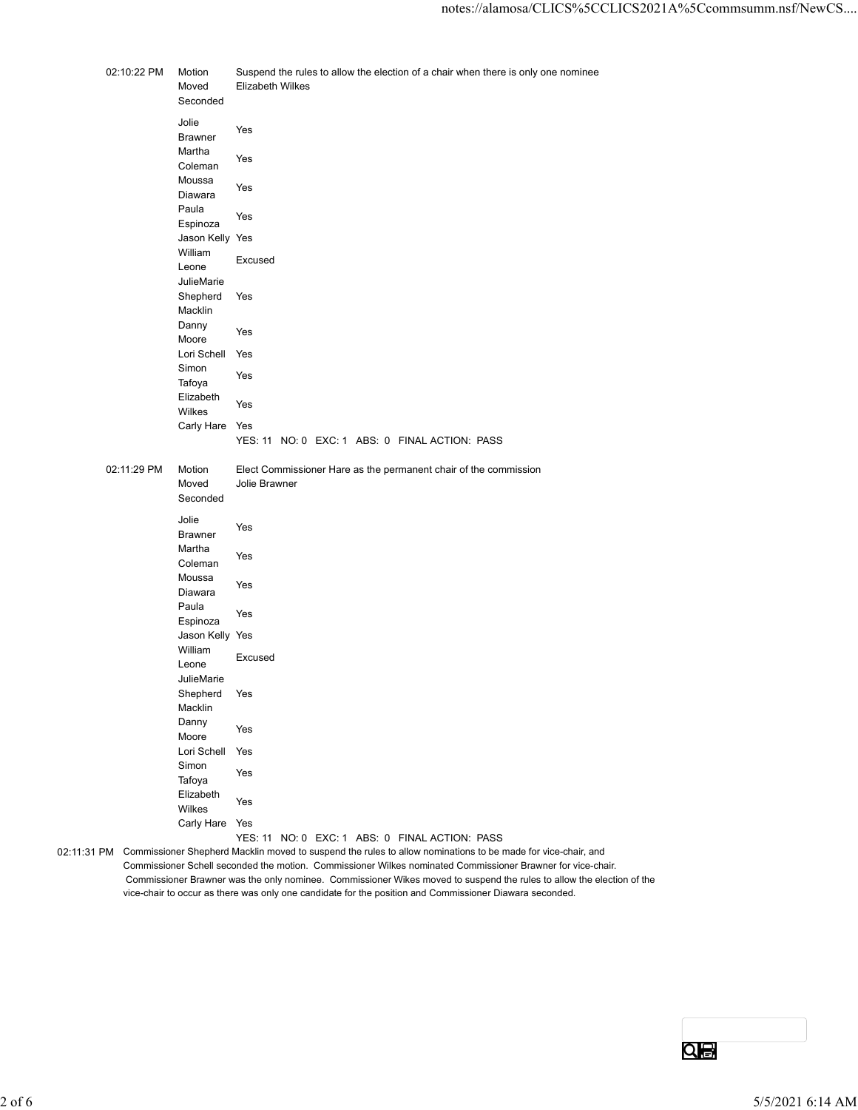| 02:10:22 PM<br>Motion<br>Suspend the rules to allow the election of a chair when there is only one nominee<br>Moved<br>Elizabeth Wilkes<br>Seconded<br>Jolie<br>Yes<br><b>Brawner</b><br>Martha<br>Yes<br>Coleman<br>Moussa<br>Yes<br>Diawara<br>Paula<br>Yes<br>Espinoza<br>Jason Kelly Yes<br>William<br>Excused<br>Leone<br>JulieMarie<br>Shepherd Yes<br>Macklin<br>Danny<br>Yes<br>Moore<br>Lori Schell Yes<br>Simon<br>Yes<br>Tafoya<br>Elizabeth<br>Yes<br>Wilkes<br>Carly Hare Yes<br>YES: 11 NO: 0 EXC: 1 ABS: 0 FINAL ACTION: PASS<br>02:11:29 PM<br>Motion<br>Elect Commissioner Hare as the permanent chair of the commission<br>Moved<br>Jolie Brawner<br>Seconded<br>Jolie<br>Yes<br>Brawner<br>Martha<br>Yes<br>Coleman<br>Moussa<br>Yes<br>Diawara<br>Paula<br>Yes<br>Espinoza<br>Jason Kelly Yes<br>William<br>Excused<br>Leone<br>JulieMarie<br>Shepherd Yes<br>Macklin<br>Danny<br>Yes<br>Moore<br>Lori Schell Yes<br>Simon<br>Yes<br>Tafoya<br>Elizabeth<br>Yes<br>Wilkes<br>Carly Hare Yes<br>YES: 11 NO: 0 EXC: 1 ABS: 0 FINAL ACTION: PASS<br>Commissioner Schell seconded the motion. Commissioner Wilkes nominated Commissioner Brawner for vice-chair. | Commissioner Brawner was the only nominee. Commissioner Wikes moved to suspend the rules to allow the election of the<br>vice-chair to occur as there was only one candidate for the position and Commissioner Diawara seconded. | 02:11:31 PM Commissioner Shepherd Macklin moved to suspend the rules to allow nominations to be made for vice-chair, and |  |  |  |
|----------------------------------------------------------------------------------------------------------------------------------------------------------------------------------------------------------------------------------------------------------------------------------------------------------------------------------------------------------------------------------------------------------------------------------------------------------------------------------------------------------------------------------------------------------------------------------------------------------------------------------------------------------------------------------------------------------------------------------------------------------------------------------------------------------------------------------------------------------------------------------------------------------------------------------------------------------------------------------------------------------------------------------------------------------------------------------------------------------------------------------------------------------------------------------|----------------------------------------------------------------------------------------------------------------------------------------------------------------------------------------------------------------------------------|--------------------------------------------------------------------------------------------------------------------------|--|--|--|
|                                                                                                                                                                                                                                                                                                                                                                                                                                                                                                                                                                                                                                                                                                                                                                                                                                                                                                                                                                                                                                                                                                                                                                                  |                                                                                                                                                                                                                                  |                                                                                                                          |  |  |  |
|                                                                                                                                                                                                                                                                                                                                                                                                                                                                                                                                                                                                                                                                                                                                                                                                                                                                                                                                                                                                                                                                                                                                                                                  |                                                                                                                                                                                                                                  |                                                                                                                          |  |  |  |
|                                                                                                                                                                                                                                                                                                                                                                                                                                                                                                                                                                                                                                                                                                                                                                                                                                                                                                                                                                                                                                                                                                                                                                                  |                                                                                                                                                                                                                                  |                                                                                                                          |  |  |  |
|                                                                                                                                                                                                                                                                                                                                                                                                                                                                                                                                                                                                                                                                                                                                                                                                                                                                                                                                                                                                                                                                                                                                                                                  |                                                                                                                                                                                                                                  |                                                                                                                          |  |  |  |
|                                                                                                                                                                                                                                                                                                                                                                                                                                                                                                                                                                                                                                                                                                                                                                                                                                                                                                                                                                                                                                                                                                                                                                                  |                                                                                                                                                                                                                                  |                                                                                                                          |  |  |  |
|                                                                                                                                                                                                                                                                                                                                                                                                                                                                                                                                                                                                                                                                                                                                                                                                                                                                                                                                                                                                                                                                                                                                                                                  |                                                                                                                                                                                                                                  |                                                                                                                          |  |  |  |
|                                                                                                                                                                                                                                                                                                                                                                                                                                                                                                                                                                                                                                                                                                                                                                                                                                                                                                                                                                                                                                                                                                                                                                                  |                                                                                                                                                                                                                                  |                                                                                                                          |  |  |  |
|                                                                                                                                                                                                                                                                                                                                                                                                                                                                                                                                                                                                                                                                                                                                                                                                                                                                                                                                                                                                                                                                                                                                                                                  |                                                                                                                                                                                                                                  |                                                                                                                          |  |  |  |
|                                                                                                                                                                                                                                                                                                                                                                                                                                                                                                                                                                                                                                                                                                                                                                                                                                                                                                                                                                                                                                                                                                                                                                                  |                                                                                                                                                                                                                                  |                                                                                                                          |  |  |  |
|                                                                                                                                                                                                                                                                                                                                                                                                                                                                                                                                                                                                                                                                                                                                                                                                                                                                                                                                                                                                                                                                                                                                                                                  |                                                                                                                                                                                                                                  |                                                                                                                          |  |  |  |
|                                                                                                                                                                                                                                                                                                                                                                                                                                                                                                                                                                                                                                                                                                                                                                                                                                                                                                                                                                                                                                                                                                                                                                                  |                                                                                                                                                                                                                                  |                                                                                                                          |  |  |  |
|                                                                                                                                                                                                                                                                                                                                                                                                                                                                                                                                                                                                                                                                                                                                                                                                                                                                                                                                                                                                                                                                                                                                                                                  |                                                                                                                                                                                                                                  |                                                                                                                          |  |  |  |
|                                                                                                                                                                                                                                                                                                                                                                                                                                                                                                                                                                                                                                                                                                                                                                                                                                                                                                                                                                                                                                                                                                                                                                                  |                                                                                                                                                                                                                                  |                                                                                                                          |  |  |  |
|                                                                                                                                                                                                                                                                                                                                                                                                                                                                                                                                                                                                                                                                                                                                                                                                                                                                                                                                                                                                                                                                                                                                                                                  |                                                                                                                                                                                                                                  |                                                                                                                          |  |  |  |
|                                                                                                                                                                                                                                                                                                                                                                                                                                                                                                                                                                                                                                                                                                                                                                                                                                                                                                                                                                                                                                                                                                                                                                                  |                                                                                                                                                                                                                                  |                                                                                                                          |  |  |  |
|                                                                                                                                                                                                                                                                                                                                                                                                                                                                                                                                                                                                                                                                                                                                                                                                                                                                                                                                                                                                                                                                                                                                                                                  |                                                                                                                                                                                                                                  |                                                                                                                          |  |  |  |
|                                                                                                                                                                                                                                                                                                                                                                                                                                                                                                                                                                                                                                                                                                                                                                                                                                                                                                                                                                                                                                                                                                                                                                                  |                                                                                                                                                                                                                                  |                                                                                                                          |  |  |  |
|                                                                                                                                                                                                                                                                                                                                                                                                                                                                                                                                                                                                                                                                                                                                                                                                                                                                                                                                                                                                                                                                                                                                                                                  |                                                                                                                                                                                                                                  |                                                                                                                          |  |  |  |
|                                                                                                                                                                                                                                                                                                                                                                                                                                                                                                                                                                                                                                                                                                                                                                                                                                                                                                                                                                                                                                                                                                                                                                                  |                                                                                                                                                                                                                                  |                                                                                                                          |  |  |  |
|                                                                                                                                                                                                                                                                                                                                                                                                                                                                                                                                                                                                                                                                                                                                                                                                                                                                                                                                                                                                                                                                                                                                                                                  |                                                                                                                                                                                                                                  |                                                                                                                          |  |  |  |
|                                                                                                                                                                                                                                                                                                                                                                                                                                                                                                                                                                                                                                                                                                                                                                                                                                                                                                                                                                                                                                                                                                                                                                                  |                                                                                                                                                                                                                                  |                                                                                                                          |  |  |  |
|                                                                                                                                                                                                                                                                                                                                                                                                                                                                                                                                                                                                                                                                                                                                                                                                                                                                                                                                                                                                                                                                                                                                                                                  |                                                                                                                                                                                                                                  |                                                                                                                          |  |  |  |
|                                                                                                                                                                                                                                                                                                                                                                                                                                                                                                                                                                                                                                                                                                                                                                                                                                                                                                                                                                                                                                                                                                                                                                                  |                                                                                                                                                                                                                                  |                                                                                                                          |  |  |  |
|                                                                                                                                                                                                                                                                                                                                                                                                                                                                                                                                                                                                                                                                                                                                                                                                                                                                                                                                                                                                                                                                                                                                                                                  |                                                                                                                                                                                                                                  |                                                                                                                          |  |  |  |
|                                                                                                                                                                                                                                                                                                                                                                                                                                                                                                                                                                                                                                                                                                                                                                                                                                                                                                                                                                                                                                                                                                                                                                                  |                                                                                                                                                                                                                                  |                                                                                                                          |  |  |  |
|                                                                                                                                                                                                                                                                                                                                                                                                                                                                                                                                                                                                                                                                                                                                                                                                                                                                                                                                                                                                                                                                                                                                                                                  |                                                                                                                                                                                                                                  |                                                                                                                          |  |  |  |
|                                                                                                                                                                                                                                                                                                                                                                                                                                                                                                                                                                                                                                                                                                                                                                                                                                                                                                                                                                                                                                                                                                                                                                                  |                                                                                                                                                                                                                                  |                                                                                                                          |  |  |  |
|                                                                                                                                                                                                                                                                                                                                                                                                                                                                                                                                                                                                                                                                                                                                                                                                                                                                                                                                                                                                                                                                                                                                                                                  |                                                                                                                                                                                                                                  |                                                                                                                          |  |  |  |
|                                                                                                                                                                                                                                                                                                                                                                                                                                                                                                                                                                                                                                                                                                                                                                                                                                                                                                                                                                                                                                                                                                                                                                                  |                                                                                                                                                                                                                                  |                                                                                                                          |  |  |  |
|                                                                                                                                                                                                                                                                                                                                                                                                                                                                                                                                                                                                                                                                                                                                                                                                                                                                                                                                                                                                                                                                                                                                                                                  |                                                                                                                                                                                                                                  |                                                                                                                          |  |  |  |
|                                                                                                                                                                                                                                                                                                                                                                                                                                                                                                                                                                                                                                                                                                                                                                                                                                                                                                                                                                                                                                                                                                                                                                                  |                                                                                                                                                                                                                                  |                                                                                                                          |  |  |  |
|                                                                                                                                                                                                                                                                                                                                                                                                                                                                                                                                                                                                                                                                                                                                                                                                                                                                                                                                                                                                                                                                                                                                                                                  |                                                                                                                                                                                                                                  |                                                                                                                          |  |  |  |
|                                                                                                                                                                                                                                                                                                                                                                                                                                                                                                                                                                                                                                                                                                                                                                                                                                                                                                                                                                                                                                                                                                                                                                                  |                                                                                                                                                                                                                                  |                                                                                                                          |  |  |  |
|                                                                                                                                                                                                                                                                                                                                                                                                                                                                                                                                                                                                                                                                                                                                                                                                                                                                                                                                                                                                                                                                                                                                                                                  |                                                                                                                                                                                                                                  |                                                                                                                          |  |  |  |
|                                                                                                                                                                                                                                                                                                                                                                                                                                                                                                                                                                                                                                                                                                                                                                                                                                                                                                                                                                                                                                                                                                                                                                                  |                                                                                                                                                                                                                                  |                                                                                                                          |  |  |  |
|                                                                                                                                                                                                                                                                                                                                                                                                                                                                                                                                                                                                                                                                                                                                                                                                                                                                                                                                                                                                                                                                                                                                                                                  |                                                                                                                                                                                                                                  |                                                                                                                          |  |  |  |
|                                                                                                                                                                                                                                                                                                                                                                                                                                                                                                                                                                                                                                                                                                                                                                                                                                                                                                                                                                                                                                                                                                                                                                                  |                                                                                                                                                                                                                                  |                                                                                                                          |  |  |  |
|                                                                                                                                                                                                                                                                                                                                                                                                                                                                                                                                                                                                                                                                                                                                                                                                                                                                                                                                                                                                                                                                                                                                                                                  |                                                                                                                                                                                                                                  |                                                                                                                          |  |  |  |
|                                                                                                                                                                                                                                                                                                                                                                                                                                                                                                                                                                                                                                                                                                                                                                                                                                                                                                                                                                                                                                                                                                                                                                                  |                                                                                                                                                                                                                                  |                                                                                                                          |  |  |  |
|                                                                                                                                                                                                                                                                                                                                                                                                                                                                                                                                                                                                                                                                                                                                                                                                                                                                                                                                                                                                                                                                                                                                                                                  |                                                                                                                                                                                                                                  |                                                                                                                          |  |  |  |
|                                                                                                                                                                                                                                                                                                                                                                                                                                                                                                                                                                                                                                                                                                                                                                                                                                                                                                                                                                                                                                                                                                                                                                                  |                                                                                                                                                                                                                                  |                                                                                                                          |  |  |  |
|                                                                                                                                                                                                                                                                                                                                                                                                                                                                                                                                                                                                                                                                                                                                                                                                                                                                                                                                                                                                                                                                                                                                                                                  |                                                                                                                                                                                                                                  |                                                                                                                          |  |  |  |
| $\alpha$ e                                                                                                                                                                                                                                                                                                                                                                                                                                                                                                                                                                                                                                                                                                                                                                                                                                                                                                                                                                                                                                                                                                                                                                       |                                                                                                                                                                                                                                  |                                                                                                                          |  |  |  |
|                                                                                                                                                                                                                                                                                                                                                                                                                                                                                                                                                                                                                                                                                                                                                                                                                                                                                                                                                                                                                                                                                                                                                                                  |                                                                                                                                                                                                                                  | 5/5/2021 6:14 AM                                                                                                         |  |  |  |

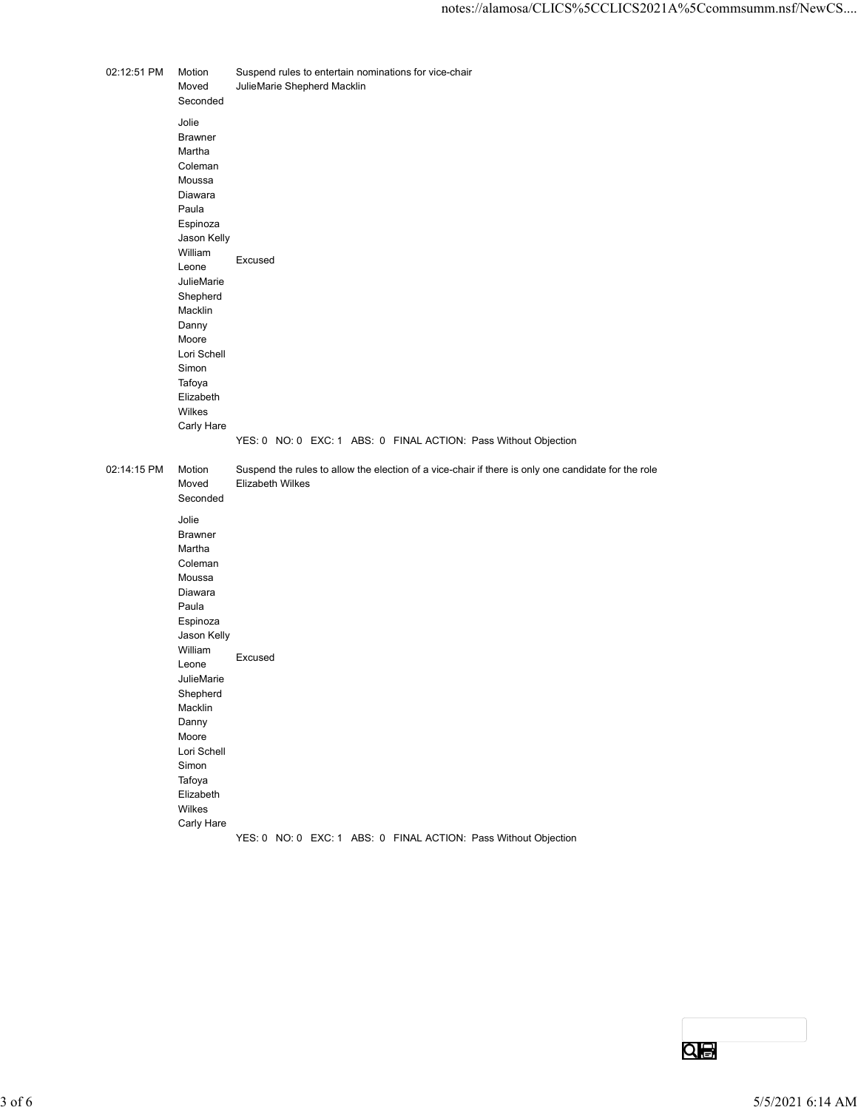| 02:12:51 PM Motion | Moved                    | Suspend rules to entertain nominations for vice-chair<br>JulieMarie Shepherd Macklin                                    |           |                  |
|--------------------|--------------------------|-------------------------------------------------------------------------------------------------------------------------|-----------|------------------|
|                    | Seconded<br>Jolie        |                                                                                                                         |           |                  |
|                    | <b>Brawner</b><br>Martha |                                                                                                                         |           |                  |
|                    | Coleman<br>Moussa        |                                                                                                                         |           |                  |
|                    | Diawara<br>Paula         |                                                                                                                         |           |                  |
|                    | Espinoza<br>Jason Kelly  |                                                                                                                         |           |                  |
|                    | William<br>Leone         | Excused                                                                                                                 |           |                  |
|                    | JulieMarie<br>Shepherd   |                                                                                                                         |           |                  |
|                    | Macklin<br>Danny         |                                                                                                                         |           |                  |
|                    | Moore<br>Lori Schell     |                                                                                                                         |           |                  |
|                    | Simon<br>Tafoya          |                                                                                                                         |           |                  |
|                    | Elizabeth<br>Wilkes      |                                                                                                                         |           |                  |
|                    | Carly Hare               | YES: 0 NO: 0 EXC: 1 ABS: 0 FINAL ACTION: Pass Without Objection                                                         |           |                  |
| 02:14:15 PM        | Motion<br>Moved          | Suspend the rules to allow the election of a vice-chair if there is only one candidate for the role<br>Elizabeth Wilkes |           |                  |
|                    | Seconded                 |                                                                                                                         |           |                  |
|                    | Jolie<br>Brawner         |                                                                                                                         |           |                  |
|                    | Martha<br>Coleman        |                                                                                                                         |           |                  |
|                    | Moussa<br>Diawara        |                                                                                                                         |           |                  |
|                    | Paula<br>Espinoza        |                                                                                                                         |           |                  |
|                    | Jason Kelly<br>William   | Excused                                                                                                                 |           |                  |
|                    | Leone<br>JulieMarie      |                                                                                                                         |           |                  |
|                    | Shepherd<br>Macklin      |                                                                                                                         |           |                  |
|                    | Danny<br>Moore           |                                                                                                                         |           |                  |
|                    | Lori Schell<br>Simon     |                                                                                                                         |           |                  |
|                    | Tafoya<br>Elizabeth      |                                                                                                                         |           |                  |
|                    | Wilkes<br>Carly Hare     |                                                                                                                         |           |                  |
|                    |                          | YES: 0 NO: 0 EXC: 1 ABS: 0 FINAL ACTION: Pass Without Objection                                                         |           |                  |
|                    |                          |                                                                                                                         |           |                  |
|                    |                          |                                                                                                                         |           |                  |
|                    |                          |                                                                                                                         |           |                  |
|                    |                          |                                                                                                                         |           |                  |
|                    |                          |                                                                                                                         |           |                  |
|                    |                          |                                                                                                                         |           |                  |
|                    |                          |                                                                                                                         | <u>QB</u> |                  |
|                    |                          |                                                                                                                         |           | 5/5/2021 6:14 AM |
|                    |                          |                                                                                                                         |           |                  |

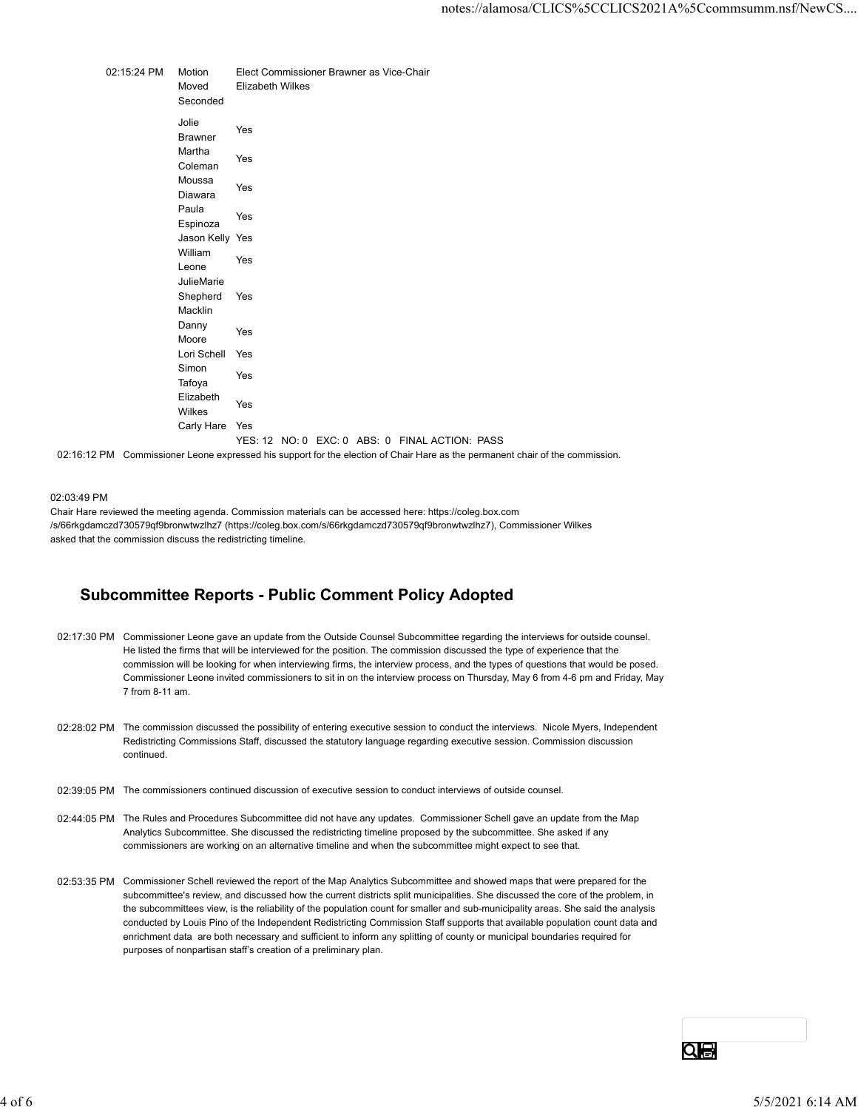notes://alamosa/CLICS%5CCLICS2021A%5<br>
02:15:24 PM Motion Elect Commissioner Brawner as Vice-Chair<br>
Moved Elizabeth Wilkes<br>
Seconded<br>
Jolie Prawner<br>
Martha Yes motes://alamosa/CLICS%5CCLICS2021A%5<br>
Motion Elect Commissioner Brawner as Vice-Chair<br>
Moved Elizabeth Wilkes<br>
Seconded<br>
Jolie<br>
Brawner<br>
Martha<br>
Coleman<br>
Yes<br>
Coleman Seconded Jolie ensen<br>Brawner Yes Martha<br>
C<sub>1</sub> Yes warnia<br>Coleman Yes Moussa ndelsels and the Yes<br>Diawara Yes Paula Paula de la contradición de la contradición de la contradición de la contradición de la contradición de la contradición de la contradición de la contradición de la contradición de la contradición de la contradición d nde de la vier de la vier de la vier de la vier de la vier de la vier de la vier de la vier de la vier de la v<br>Espinoza notes://alamosa/CLICS%SCCLICS2021A%5<br>Motion Elect Commissioner Brawner as Vice-Chair<br>Moved Elizabeth Wilkes<br>Seconded<br>Jolie<br>Jason Kelly Yes<br>Dialenana Yes<br>Paula<br>Jason Kelly Yes<br>Milliam Yes<br>Jason Kelly Yes<br>William Yes<br>JulieMa William **Contract Contract Contract Contract Contract Contract Contract Contract Contract Contract Contract Contract Contract Contract Contract Contract Contract Contract Contract Contract Contract Contract Contract Contra** william Yes<br>Leone Yes JulieMarie Shepherd Yes Macklin **Macklin Macklin Macklin Macklin** Yes Danny<br>
Yes <u>Desimity</u><br>Moore Yes notes://alamosa/CLICS%5CCLICS2021A%5<br>
Motoion Elizabeth Wilkes<br>
Seconded<br>
Seconded<br>
Jolie<br>
Seconded<br>
Jolie<br>
Martha Yes<br>
Brawner Yes<br>
Martha<br>
Manasa Yes<br>
Diawara <sup>Yes</sup><br>
Shipperd Yes<br>
Espinoza<br>
William<br>
Willie<br>
Universe<br>
Shi Simon and the second state of the second state of the second state of the second state of the second state of the second state of the second state of the second state of the second state of the second state of the second s undu.<br>Tafoya Yes Elizabeth <u>Milkes Yes</u><br>Wilkes Moved<br>
Moved<br>
Moved<br>
Seconded<br>
Seconded<br>
Seconded<br>
Jolie<br>
Seconded<br>
Matha<br>
Matha Yes<br>
Moved:<br>
Carly Moved:<br>
Moved:<br>
Carly Yes<br>
Simon Yes<br>
Simon Yes<br>
Simon Yes<br>
Curi Schell Yes<br>
Curi Schell Yes<br>
Simon<br>
Curi Schell Yes<br>
Curi YES: 12 NO: 0 EXC: 0 ABS: 0 FINAL ACTION: PASS

02:16:12 PM Commissioner Leone expressed his support for the election of Chair Hare as the permanent chair of the commission.

#### 02:03:49 PM

Chair Hare reviewed the meeting agenda. Commission materials can be accessed here: https://coleg.box.com /s/66rkgdamczd730579qf9bronwtwzlhz7 (https://coleg.box.com/s/66rkgdamczd730579qf9bronwtwzlhz7), Commissioner Wilkes asked that the commission discuss the redistricting timeline.

### Subcommittee Reports - Public Comment Policy Adopted

- 02:17:30 PM Commissioner Leone gave an update from the Outside Counsel Subcommittee regarding the interviews for outside counsel. He listed the firms that will be interviewed for the position. The commission discussed the type of experience that the commission will be looking for when interviewing firms, the interview process, and the types of questions that would be posed. Commissioner Leone invited commissioners to sit in on the interview process on Thursday, May 6 from 4-6 pm and Friday, May 7 from 8-11 am.
- 02:28:02 PM The commission discussed the possibility of entering executive session to conduct the interviews. Nicole Myers, Independent Redistricting Commissions Staff, discussed the statutory language regarding executive session. Commission discussion continued.
- 02:39:05 PM The commissioners continued discussion of executive session to conduct interviews of outside counsel.
- 02:44:05 PM The Rules and Procedures Subcommittee did not have any updates. Commissioner Schell gave an update from the Map Analytics Subcommittee. She discussed the redistricting timeline proposed by the subcommittee. She asked if any commissioners are working on an alternative timeline and when the subcommittee might expect to see that.
- 02:53:35 PM Commissioner Schell reviewed the report of the Map Analytics Subcommittee and showed maps that were prepared for the subcommittee's review, and discussed how the current districts split municipalities. She discussed the core of the problem, in the subcommittees view, is the reliability of the population count for smaller and sub-municipality areas. She said the analysis conducted by Louis Pino of the Independent Redistricting Commission Staff supports that available population count data and enrichment data are both necessary and sufficient to inform any splitting of county or municipal boundaries required for purposes of nonpartisan staff's creation of a preliminary plan. Following Commissions Staff, discussed the statutory language regarding exceedive session. Commission discussion<br>continued.<br>
22:39:05 PM The Rules and Procedures Subcommittee did not have any updates. Commissioner Schell g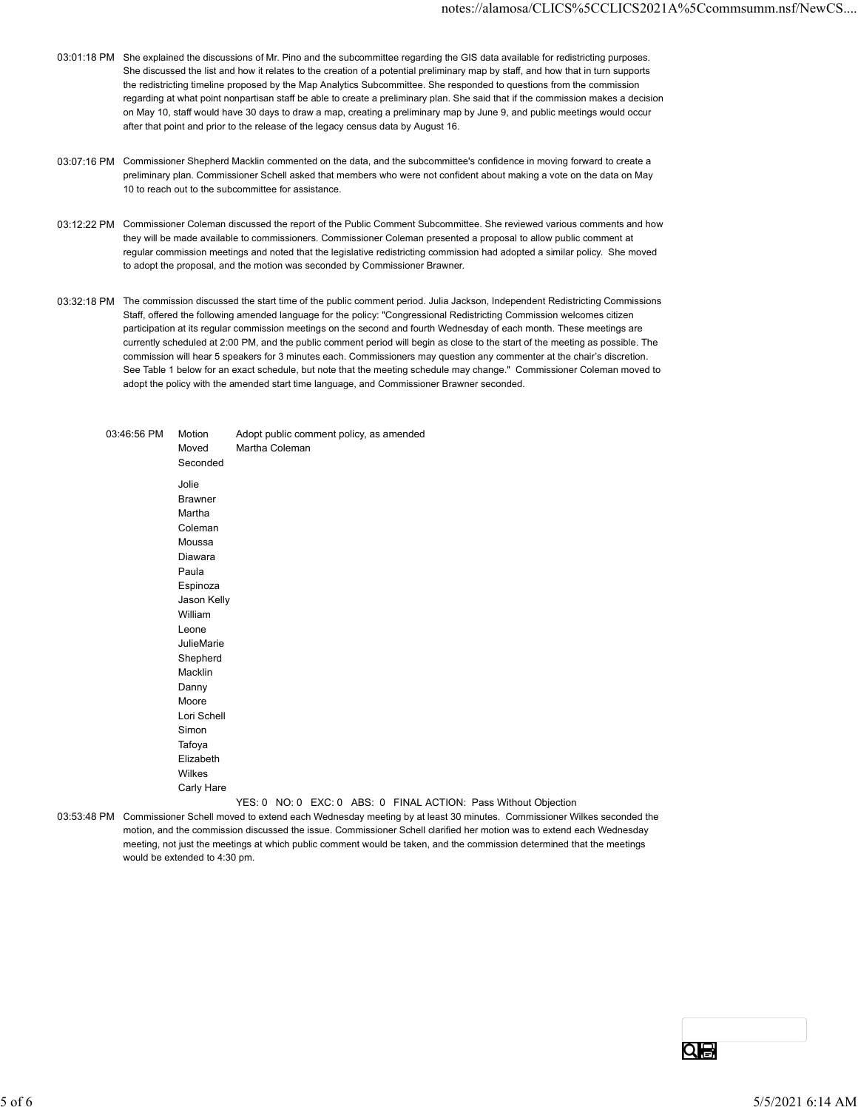- 03:01:18 PM She explained the discussions of Mr. Pino and the subcommittee regarding the GIS data available for redistricting purposes. She discussed the list and how it relates to the creation of a potential preliminary map by staff, and how that in turn supports the redistricting timeline proposed by the Map Analytics Subcommittee. She responded to questions from the commission regarding at what point nonpartisan staff be able to create a preliminary plan. She said that if the commission makes a decision on May 10, staff would have 30 days to draw a map, creating a preliminary map by June 9, and public meetings would occur after that point and prior to the release of the legacy census data by August 16.
- 03:07:16 PM Commissioner Shepherd Macklin commented on the data, and the subcommittee's confidence in moving forward to create a preliminary plan. Commissioner Schell asked that members who were not confident about making a vote on the data on May 10 to reach out to the subcommittee for assistance.
- 03:12:22 PM Commissioner Coleman discussed the report of the Public Comment Subcommittee. She reviewed various comments and how they will be made available to commissioners. Commissioner Coleman presented a proposal to allow public comment at regular commission meetings and noted that the legislative redistricting commission had adopted a similar policy. She moved to adopt the proposal, and the motion was seconded by Commissioner Brawner.
- 03:32:18 PM The commission discussed the start time of the public comment period. Julia Jackson, Independent Redistricting Commissions Staff, offered the following amended language for the policy: "Congressional Redistricting Commission welcomes citizen participation at its regular commission meetings on the second and fourth Wednesday of each month. These meetings are currently scheduled at 2:00 PM, and the public comment period will begin as close to the start of the meeting as possible. The commission will hear 5 speakers for 3 minutes each. Commissioners may question any commenter at the chair's discretion. See Table 1 below for an exact schedule, but note that the meeting schedule may change." Commissioner Coleman moved to adopt the policy with the amended start time language, and Commissioner Brawner seconded. She discussed the island how threlates to the creation of a polential preliminary map by staff, and tow the interminary<br>the redistricting time in proposed by the Map Analytics Subcommittee. She responded to questions form

|                                                                                                                                 |                                                                                                                                        | the redistricting timeline proposed by the Map Analytics Subcommittee. She responded to questions from the commission<br>regarding at what point nonpartisan staff be able to create a preliminary plan. She said that if the commission makes a decision<br>on May 10, staff would have 30 days to draw a map, creating a preliminary map by June 9, and public meetings would occur<br>after that point and prior to the release of the legacy census data by August 16.                                                                                                                                                                                                                                                          |                |  |                                         |                                                                 |  |  |    |  |                  |
|---------------------------------------------------------------------------------------------------------------------------------|----------------------------------------------------------------------------------------------------------------------------------------|-------------------------------------------------------------------------------------------------------------------------------------------------------------------------------------------------------------------------------------------------------------------------------------------------------------------------------------------------------------------------------------------------------------------------------------------------------------------------------------------------------------------------------------------------------------------------------------------------------------------------------------------------------------------------------------------------------------------------------------|----------------|--|-----------------------------------------|-----------------------------------------------------------------|--|--|----|--|------------------|
|                                                                                                                                 | 03:07:16 PM Commissioner Shepherd Macklin commented on the data, and the subcommittee's confidence in moving forward to create a       | preliminary plan. Commissioner Schell asked that members who were not confident about making a vote on the data on May<br>10 to reach out to the subcommittee for assistance.                                                                                                                                                                                                                                                                                                                                                                                                                                                                                                                                                       |                |  |                                         |                                                                 |  |  |    |  |                  |
|                                                                                                                                 | 03:12:22 PM Commissioner Coleman discussed the report of the Public Comment Subcommittee. She reviewed various comments and how        | they will be made available to commissioners. Commissioner Coleman presented a proposal to allow public comment at<br>regular commission meetings and noted that the legislative redistricting commission had adopted a similar policy. She moved<br>to adopt the proposal, and the motion was seconded by Commissioner Brawner.                                                                                                                                                                                                                                                                                                                                                                                                    |                |  |                                         |                                                                 |  |  |    |  |                  |
|                                                                                                                                 | 03:32:18 PM The commission discussed the start time of the public comment period. Julia Jackson, Independent Redistricting Commissions | Staff, offered the following amended language for the policy: "Congressional Redistricting Commission welcomes citizen<br>participation at its regular commission meetings on the second and fourth Wednesday of each month. These meetings are<br>currently scheduled at 2:00 PM, and the public comment period will begin as close to the start of the meeting as possible. The<br>commission will hear 5 speakers for 3 minutes each. Commissioners may question any commenter at the chair's discretion.<br>See Table 1 below for an exact schedule, but note that the meeting schedule may change." Commissioner Coleman moved to<br>adopt the policy with the amended start time language, and Commissioner Brawner seconded. |                |  |                                         |                                                                 |  |  |    |  |                  |
| 03:53:48 PM Commissioner Schell moved to extend each Wednesday meeting by at least 30 minutes. Commissioner Wilkes seconded the | 03:46:56 PM                                                                                                                            | Motion<br>Moved<br>Seconded<br>Jolie<br><b>Brawner</b><br>Martha<br>Coleman<br>Moussa<br>Diawara<br>Paula<br>Espinoza<br>Jason Kelly<br>William<br>Leone<br>JulieMarie<br>Shepherd<br>Macklin<br>Danny<br>Moore<br>Lori Schell<br>Simon<br>Tafoya<br>Elizabeth<br>Wilkes<br>Carly Hare<br>motion, and the commission discussed the issue. Commissioner Schell clarified her motion was to extend each Wednesday<br>meeting, not just the meetings at which public comment would be taken, and the commission determined that the meetings<br>would be extended to 4:30 pm.                                                                                                                                                          | Martha Coleman |  | Adopt public comment policy, as amended | YES: 0 NO: 0 EXC: 0 ABS: 0 FINAL ACTION: Pass Without Objection |  |  |    |  |                  |
|                                                                                                                                 |                                                                                                                                        |                                                                                                                                                                                                                                                                                                                                                                                                                                                                                                                                                                                                                                                                                                                                     |                |  |                                         |                                                                 |  |  | 이급 |  |                  |
|                                                                                                                                 |                                                                                                                                        |                                                                                                                                                                                                                                                                                                                                                                                                                                                                                                                                                                                                                                                                                                                                     |                |  |                                         |                                                                 |  |  |    |  | 5/5/2021 6:14 AM |